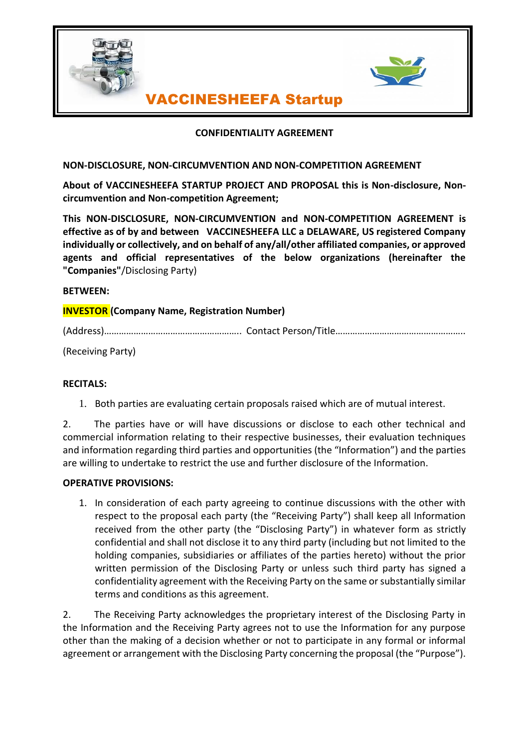



# VACCINESHEEFA Startup

## **CONFIDENTIALITY AGREEMENT**

## **NON-DISCLOSURE, NON-CIRCUMVENTION AND NON-COMPETITION AGREEMENT**

**About of VACCINESHEEFA STARTUP PROJECT AND PROPOSAL this is Non-disclosure, Noncircumvention and Non-competition Agreement;**

**This NON-DISCLOSURE, NON-CIRCUMVENTION and NON-COMPETITION AGREEMENT is effective as of by and between VACCINESHEEFA LLC a DELAWARE, US registered Company individually or collectively, and on behalf of any/all/other affiliated companies, or approved agents and official representatives of the below organizations (hereinafter the "Companies"**/Disclosing Party)

## **BETWEEN:**

## **INVESTOR (Company Name, Registration Number)**

(Address)……………………………………………….. Contact Person/Title……………………………………………..

(Receiving Party)

## **RECITALS:**

1. Both parties are evaluating certain proposals raised which are of mutual interest.

2. The parties have or will have discussions or disclose to each other technical and commercial information relating to their respective businesses, their evaluation techniques and information regarding third parties and opportunities (the "Information") and the parties are willing to undertake to restrict the use and further disclosure of the Information.

## **OPERATIVE PROVISIONS:**

1. In consideration of each party agreeing to continue discussions with the other with respect to the proposal each party (the "Receiving Party") shall keep all Information received from the other party (the "Disclosing Party") in whatever form as strictly confidential and shall not disclose it to any third party (including but not limited to the holding companies, subsidiaries or affiliates of the parties hereto) without the prior written permission of the Disclosing Party or unless such third party has signed a confidentiality agreement with the Receiving Party on the same or substantially similar terms and conditions as this agreement.

2. The Receiving Party acknowledges the proprietary interest of the Disclosing Party in the Information and the Receiving Party agrees not to use the Information for any purpose other than the making of a decision whether or not to participate in any formal or informal agreement or arrangement with the Disclosing Party concerning the proposal (the "Purpose").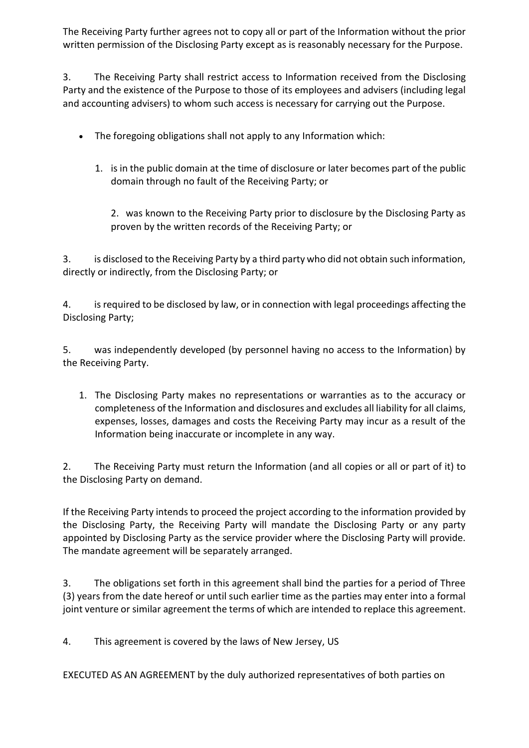The Receiving Party further agrees not to copy all or part of the Information without the prior written permission of the Disclosing Party except as is reasonably necessary for the Purpose.

3. The Receiving Party shall restrict access to Information received from the Disclosing Party and the existence of the Purpose to those of its employees and advisers (including legal and accounting advisers) to whom such access is necessary for carrying out the Purpose.

- The foregoing obligations shall not apply to any Information which:
	- 1. is in the public domain at the time of disclosure or later becomes part of the public domain through no fault of the Receiving Party; or

2. was known to the Receiving Party prior to disclosure by the Disclosing Party as proven by the written records of the Receiving Party; or

3. is disclosed to the Receiving Party by a third party who did not obtain such information, directly or indirectly, from the Disclosing Party; or

4. is required to be disclosed by law, or in connection with legal proceedings affecting the Disclosing Party;

5. was independently developed (by personnel having no access to the Information) by the Receiving Party.

1. The Disclosing Party makes no representations or warranties as to the accuracy or completeness of the Information and disclosures and excludes all liability for all claims, expenses, losses, damages and costs the Receiving Party may incur as a result of the Information being inaccurate or incomplete in any way.

2. The Receiving Party must return the Information (and all copies or all or part of it) to the Disclosing Party on demand.

If the Receiving Party intends to proceed the project according to the information provided by the Disclosing Party, the Receiving Party will mandate the Disclosing Party or any party appointed by Disclosing Party as the service provider where the Disclosing Party will provide. The mandate agreement will be separately arranged.

3. The obligations set forth in this agreement shall bind the parties for a period of Three (3) years from the date hereof or until such earlier time as the parties may enter into a formal joint venture or similar agreement the terms of which are intended to replace this agreement.

4. This agreement is covered by the laws of New Jersey, US

EXECUTED AS AN AGREEMENT by the duly authorized representatives of both parties on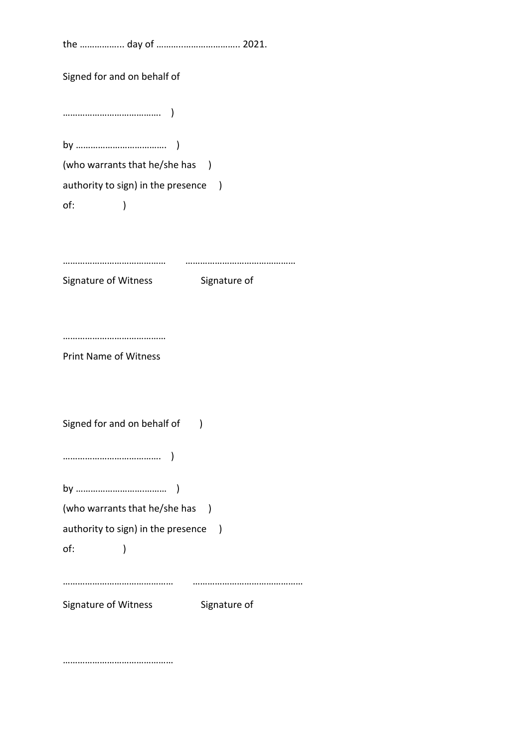| Signed for and on behalf of                                    |                          |
|----------------------------------------------------------------|--------------------------|
|                                                                |                          |
|                                                                |                          |
| (who warrants that he/she has )                                |                          |
| authority to sign) in the presence<br>$\overline{\phantom{a}}$ |                          |
| of:<br>)                                                       |                          |
|                                                                |                          |
| Signature of Witness                                           | Signature of             |
| <b>Print Name of Witness</b>                                   |                          |
| Signed for and on behalf of                                    | )                        |
|                                                                |                          |
|                                                                |                          |
| (who warrants that he/she has                                  | $\overline{\phantom{a}}$ |
| authority to sign) in the presence )                           |                          |
| of:<br>)                                                       |                          |
| Signature of Witness                                           | Signature of             |

………………………………………